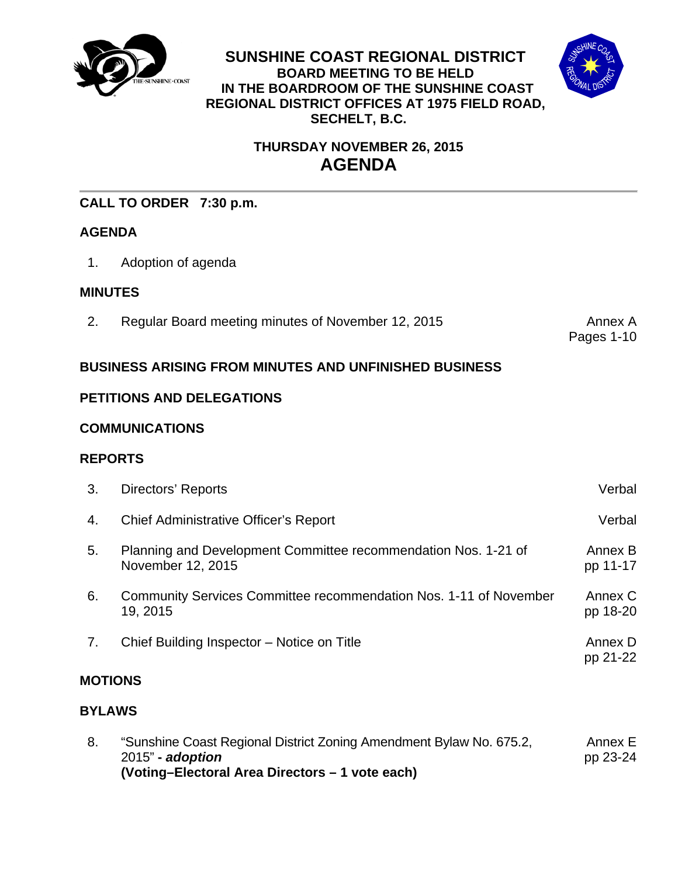

**SUNSHINE COAST REGIONAL DISTRICT BOARD MEETING TO BE HELD IN THE BOARDROOM OF THE SUNSHINE COAST REGIONAL DISTRICT OFFICES AT 1975 FIELD ROAD, SECHELT, B.C.** 



# **THURSDAY NOVEMBER 26, 2015 AGENDA**

# **CALL TO ORDER 7:30 p.m.**

# **AGENDA**

1. Adoption of agenda

# **MINUTES**

[2. Regular Board meeting minutes of November 12, 2015 Annex A](#page-3-0)

Pages 1-10

# **BUSINESS ARISING FROM MINUTES AND UNFINISHED BUSINESS**

# **PETITIONS AND DELEGATIONS**

# **COMMUNICATIONS**

# **REPORTS**

| <b>MOTIONS</b> |                                                                                     |                     |  |  |
|----------------|-------------------------------------------------------------------------------------|---------------------|--|--|
| 7.             | Chief Building Inspector – Notice on Title                                          | Annex D<br>pp 21-22 |  |  |
| 6.             | Community Services Committee recommendation Nos. 1-11 of November<br>19, 2015       | Annex C<br>pp 18-20 |  |  |
| 5.             | Planning and Development Committee recommendation Nos. 1-21 of<br>November 12, 2015 | Annex B<br>pp 11-17 |  |  |
| 4.             | Chief Administrative Officer's Report                                               | Verbal              |  |  |
| 3.             | Directors' Reports                                                                  | Verbal              |  |  |

# **BYLAWS**

[8. "Sunshine Coast Regional District Zoning Amendment Bylaw No. 675.2,](#page-25-0)  2015" **-** *adoption*  **(Voting–Electoral Area Directors – 1 vote each)**  Annex E pp 23-24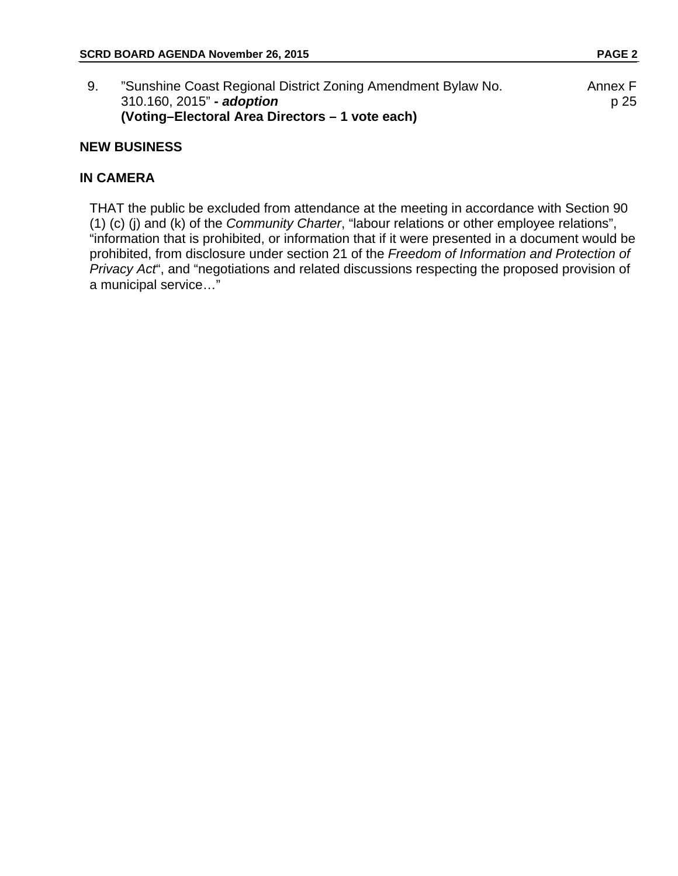| "Sunshine Coast Regional District Zoning Amendment Bylaw No. | Annex F |
|--------------------------------------------------------------|---------|
| 310.160, 2015" - adoption                                    | p 25    |
| (Voting–Electoral Area Directors – 1 vote each)              |         |

# **NEW BUSINESS**

# **IN CAMERA**

THAT the public be excluded from attendance at the meeting in accordance with Section 90 (1) (c) (j) and (k) of the *Community Charter*, "labour relations or other employee relations", "information that is prohibited, or information that if it were presented in a document would be prohibited, from disclosure under section 21 of the *Freedom of Information and Protection of Privacy Act*", and "negotiations and related discussions respecting the proposed provision of a municipal service…"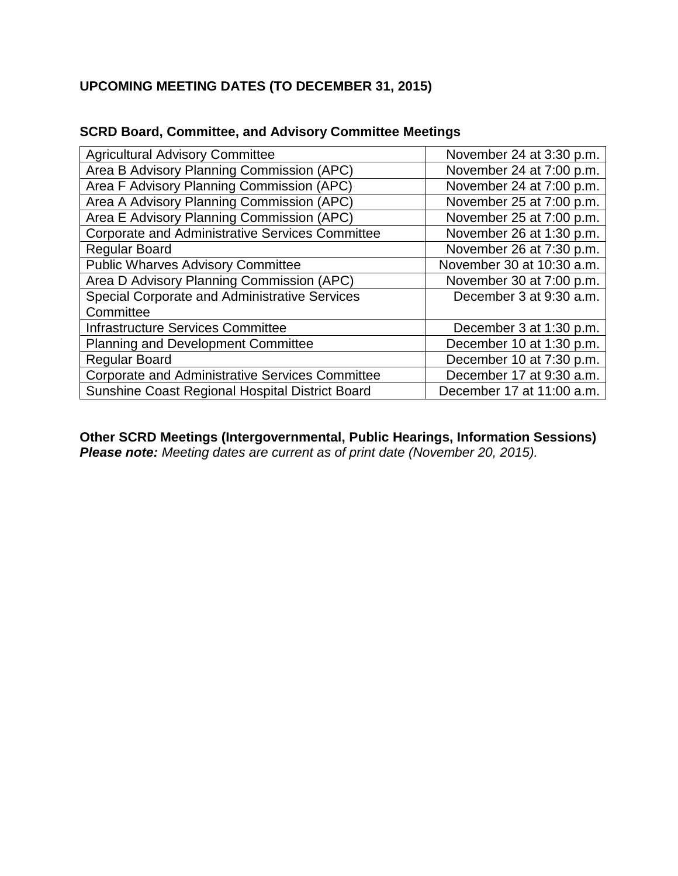# **UPCOMING MEETING DATES (TO DECEMBER 31, 2015)**

| <b>Agricultural Advisory Committee</b>                 | November 24 at 3:30 p.m.  |
|--------------------------------------------------------|---------------------------|
| Area B Advisory Planning Commission (APC)              | November 24 at 7:00 p.m.  |
| Area F Advisory Planning Commission (APC)              | November 24 at 7:00 p.m.  |
| Area A Advisory Planning Commission (APC)              | November 25 at 7:00 p.m.  |
| Area E Advisory Planning Commission (APC)              | November 25 at 7:00 p.m.  |
| <b>Corporate and Administrative Services Committee</b> | November 26 at 1:30 p.m.  |
| <b>Regular Board</b>                                   | November 26 at 7:30 p.m.  |
| <b>Public Wharves Advisory Committee</b>               | November 30 at 10:30 a.m. |
| Area D Advisory Planning Commission (APC)              | November 30 at 7:00 p.m.  |
| Special Corporate and Administrative Services          | December 3 at 9:30 a.m.   |
| Committee                                              |                           |
| Infrastructure Services Committee                      | December 3 at 1:30 p.m.   |
| <b>Planning and Development Committee</b>              | December 10 at 1:30 p.m.  |
| <b>Regular Board</b>                                   | December 10 at 7:30 p.m.  |
| <b>Corporate and Administrative Services Committee</b> | December 17 at 9:30 a.m.  |
| Sunshine Coast Regional Hospital District Board        | December 17 at 11:00 a.m. |

# **SCRD Board, Committee, and Advisory Committee Meetings**

**Other SCRD Meetings (Intergovernmental, Public Hearings, Information Sessions)**  *Please note: Meeting dates are current as of print date (November 20, 2015).*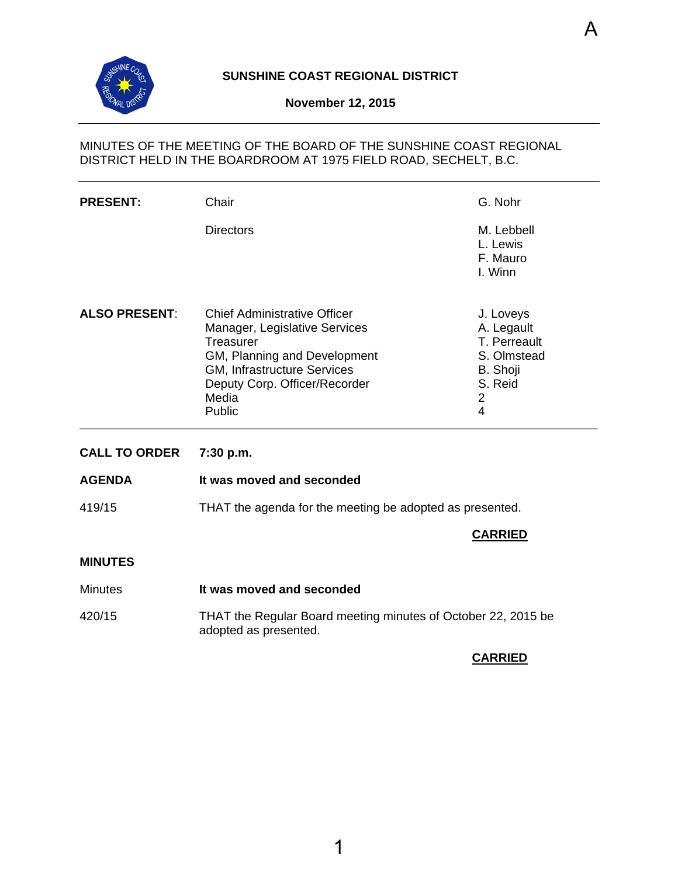<span id="page-3-0"></span>

# **SUNSHINE COAST REGIONAL DISTRICT**

#### **November 12, 2015**

# MINUTES OF THE MEETING OF THE BOARD OF THE SUNSHINE COAST REGIONAL DISTRICT HELD IN THE BOARDROOM AT 1975 FIELD ROAD, SECHELT, B.C.

| <b>PRESENT:</b>      | Chair                                                                                                                                                                                                | G. Nohr                                                                                              |
|----------------------|------------------------------------------------------------------------------------------------------------------------------------------------------------------------------------------------------|------------------------------------------------------------------------------------------------------|
|                      | <b>Directors</b>                                                                                                                                                                                     | M. Lebbell<br>L. Lewis<br>F. Mauro<br>I. Winn                                                        |
| <b>ALSO PRESENT:</b> | <b>Chief Administrative Officer</b><br>Manager, Legislative Services<br>Treasurer<br>GM, Planning and Development<br>GM, Infrastructure Services<br>Deputy Corp. Officer/Recorder<br>Media<br>Public | J. Loveys<br>A. Legault<br>T. Perreault<br>S. Olmstead<br>B. Shoji<br>S. Reid<br>$\overline{2}$<br>4 |
| <b>CALL TO ORDER</b> | 7:30 p.m.                                                                                                                                                                                            |                                                                                                      |
|                      |                                                                                                                                                                                                      |                                                                                                      |
| <b>AGENDA</b>        | It was moved and seconded                                                                                                                                                                            |                                                                                                      |
| 419/15               | THAT the agenda for the meeting be adopted as presented.                                                                                                                                             |                                                                                                      |
|                      |                                                                                                                                                                                                      | <b>CARRIED</b>                                                                                       |
| <b>MINUTES</b>       |                                                                                                                                                                                                      |                                                                                                      |
| <b>Minutes</b>       | It was moved and seconded                                                                                                                                                                            |                                                                                                      |

## **CARRIED**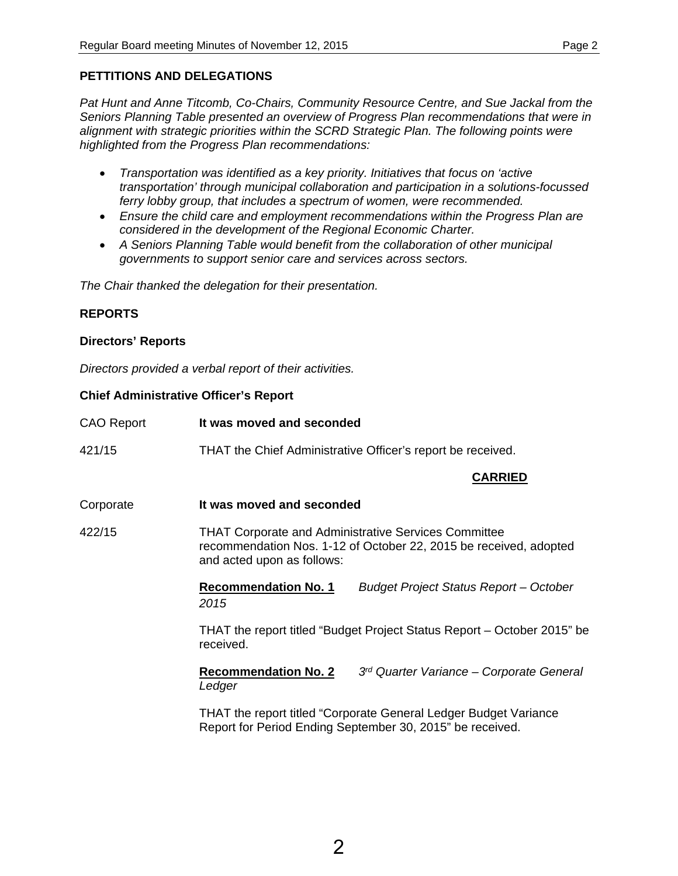# **PETTITIONS AND DELEGATIONS**

*Pat Hunt and Anne Titcomb, Co-Chairs, Community Resource Centre, and Sue Jackal from the Seniors Planning Table presented an overview of Progress Plan recommendations that were in alignment with strategic priorities within the SCRD Strategic Plan. The following points were highlighted from the Progress Plan recommendations:* 

- *Transportation was identified as a key priority. Initiatives that focus on 'active transportation' through municipal collaboration and participation in a solutions-focussed ferry lobby group, that includes a spectrum of women, were recommended.*
- *Ensure the child care and employment recommendations within the Progress Plan are considered in the development of the Regional Economic Charter.*
- *A Seniors Planning Table would benefit from the collaboration of other municipal governments to support senior care and services across sectors.*

*The Chair thanked the delegation for their presentation.* 

# **REPORTS**

#### **Directors' Reports**

*Directors provided a verbal report of their activities.* 

## **Chief Administrative Officer's Report**

| <b>CAO Report</b> | It was moved and seconded                                                                                                                                      |  |  |  |
|-------------------|----------------------------------------------------------------------------------------------------------------------------------------------------------------|--|--|--|
| 421/15            | THAT the Chief Administrative Officer's report be received.                                                                                                    |  |  |  |
|                   | <b>CARRIED</b>                                                                                                                                                 |  |  |  |
| Corporate         | It was moved and seconded                                                                                                                                      |  |  |  |
| 422/15            | <b>THAT Corporate and Administrative Services Committee</b><br>recommendation Nos. 1-12 of October 22, 2015 be received, adopted<br>and acted upon as follows: |  |  |  |
|                   | <b>Recommendation No. 1</b><br><b>Budget Project Status Report - October</b><br>2015                                                                           |  |  |  |
|                   | THAT the report titled "Budget Project Status Report – October 2015" be<br>received.                                                                           |  |  |  |
|                   | <b>Recommendation No. 2</b><br>3 <sup>rd</sup> Quarter Variance – Corporate General<br>Ledger                                                                  |  |  |  |
|                   | THAT the report titled "Corporate General Ledger Budget Variance<br>Report for Period Ending September 30, 2015" be received.                                  |  |  |  |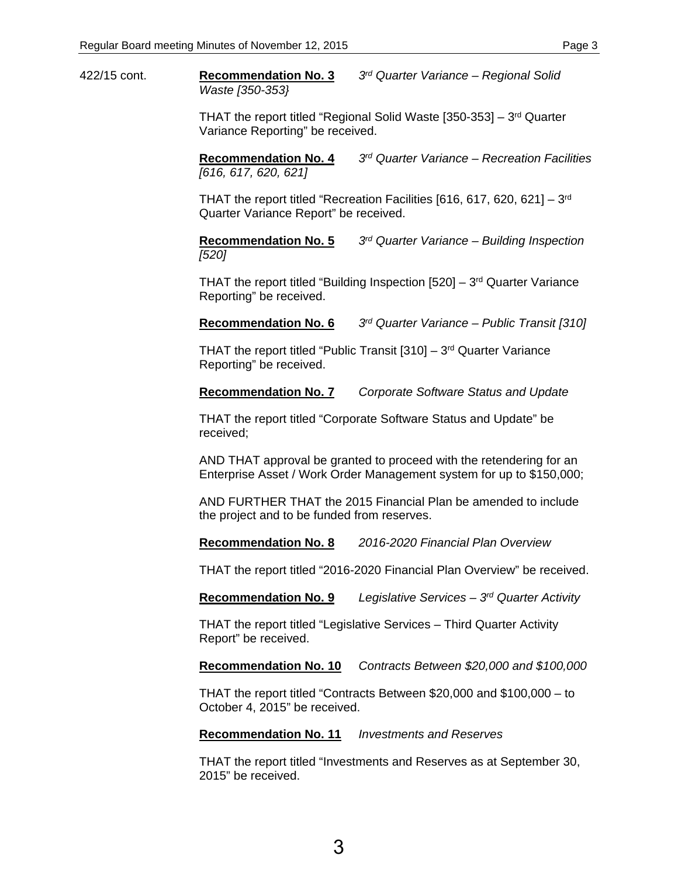422/15 cont. **Recommendation No. 3** *3rd Quarter Variance – Regional Solid Waste [350-353}* 

> THAT the report titled "Regional Solid Waste  $[350-353] - 3<sup>rd</sup>$  Quarter Variance Reporting" be received.

**Recommendation No. 4** *3rd Quarter Variance – Recreation Facilities [616, 617, 620, 621]* 

THAT the report titled "Recreation Facilities [616, 617, 620, 621] – 3rd Quarter Variance Report" be received.

**Recommendation No. 5** *3rd Quarter Variance – Building Inspection [520]* 

THAT the report titled "Building Inspection  $[520] - 3<sup>rd</sup>$  Quarter Variance Reporting" be received.

**Recommendation No. 6** *3rd Quarter Variance – Public Transit [310]* 

THAT the report titled "Public Transit  $[310] - 3<sup>rd</sup>$  Quarter Variance Reporting" be received.

**Recommendation No. 7** *Corporate Software Status and Update* 

THAT the report titled "Corporate Software Status and Update" be received;

AND THAT approval be granted to proceed with the retendering for an Enterprise Asset / Work Order Management system for up to \$150,000;

AND FURTHER THAT the 2015 Financial Plan be amended to include the project and to be funded from reserves.

**Recommendation No. 8** *2016-2020 Financial Plan Overview* 

THAT the report titled "2016-2020 Financial Plan Overview" be received.

**Recommendation No. 9** *Legislative Services – 3rd Quarter Activity* 

THAT the report titled "Legislative Services – Third Quarter Activity Report" be received.

**Recommendation No. 10** *Contracts Between \$20,000 and \$100,000* 

THAT the report titled "Contracts Between \$20,000 and \$100,000 – to October 4, 2015" be received.

**Recommendation No. 11** *Investments and Reserves* 

THAT the report titled "Investments and Reserves as at September 30, 2015" be received.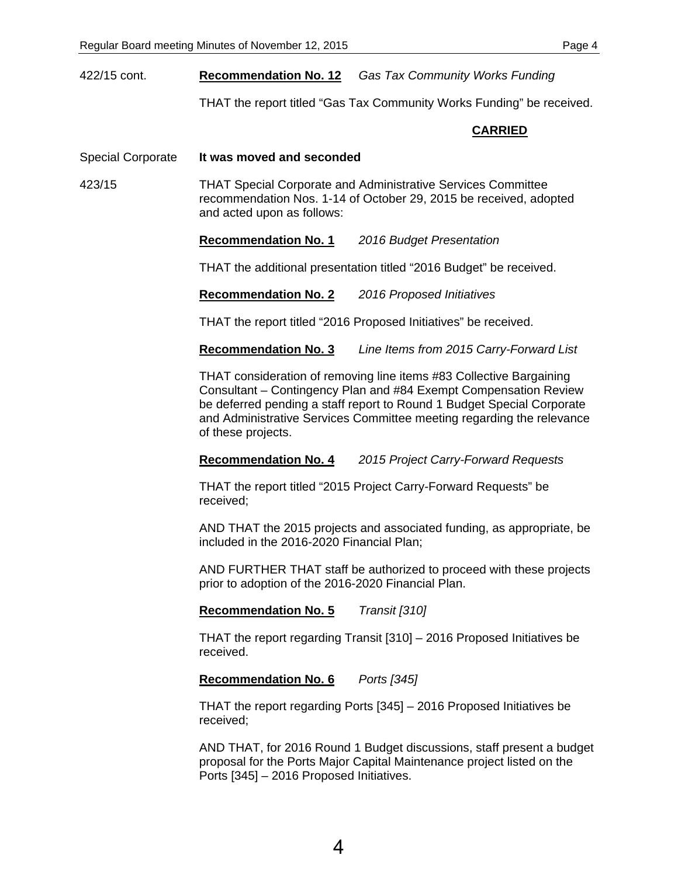THAT the report titled "Gas Tax Community Works Funding" be received.

#### **CARRIED**

Special Corporate **It was moved and seconded** 

423/15 THAT Special Corporate and Administrative Services Committee recommendation Nos. 1-14 of October 29, 2015 be received, adopted and acted upon as follows:

**Recommendation No. 1** *2016 Budget Presentation* 

THAT the additional presentation titled "2016 Budget" be received.

**Recommendation No. 2** *2016 Proposed Initiatives* 

THAT the report titled "2016 Proposed Initiatives" be received.

**Recommendation No. 3** *Line Items from 2015 Carry-Forward List* 

THAT consideration of removing line items #83 Collective Bargaining Consultant – Contingency Plan and #84 Exempt Compensation Review be deferred pending a staff report to Round 1 Budget Special Corporate and Administrative Services Committee meeting regarding the relevance of these projects.

**Recommendation No. 4** *2015 Project Carry-Forward Requests* 

THAT the report titled "2015 Project Carry-Forward Requests" be received;

AND THAT the 2015 projects and associated funding, as appropriate, be included in the 2016-2020 Financial Plan;

AND FURTHER THAT staff be authorized to proceed with these projects prior to adoption of the 2016-2020 Financial Plan.

**Recommendation No. 5** *Transit [310]* 

THAT the report regarding Transit [310] – 2016 Proposed Initiatives be received.

## **Recommendation No. 6** *Ports [345]*

THAT the report regarding Ports [345] – 2016 Proposed Initiatives be received;

AND THAT, for 2016 Round 1 Budget discussions, staff present a budget proposal for the Ports Major Capital Maintenance project listed on the Ports [345] – 2016 Proposed Initiatives.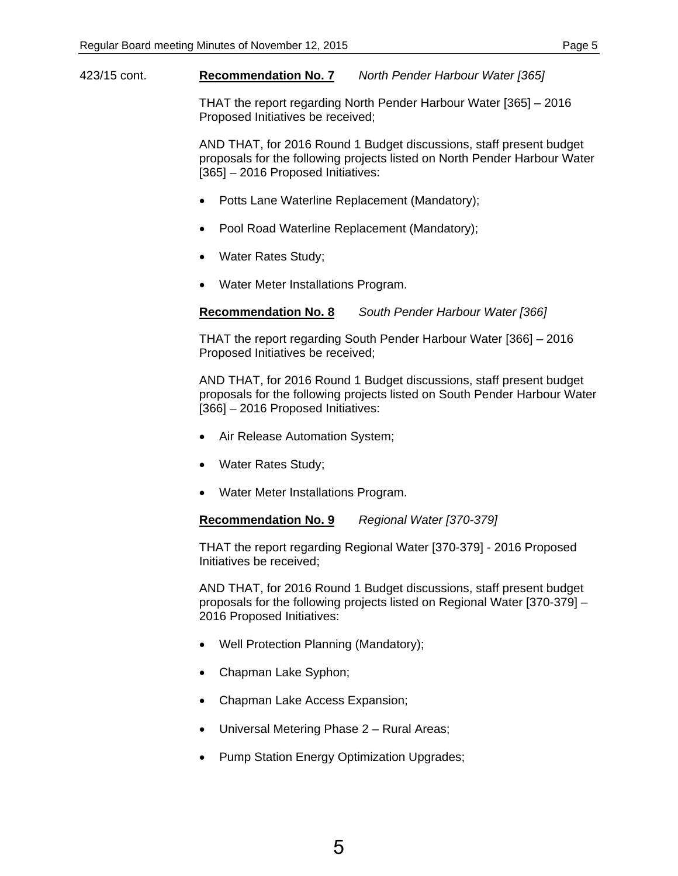423/15 cont. **Recommendation No. 7** *North Pender Harbour Water [365]* 

THAT the report regarding North Pender Harbour Water [365] – 2016 Proposed Initiatives be received;

AND THAT, for 2016 Round 1 Budget discussions, staff present budget proposals for the following projects listed on North Pender Harbour Water [365] – 2016 Proposed Initiatives:

- Potts Lane Waterline Replacement (Mandatory);
- Pool Road Waterline Replacement (Mandatory);
- Water Rates Study;
- Water Meter Installations Program.

**Recommendation No. 8** *South Pender Harbour Water [366]* 

THAT the report regarding South Pender Harbour Water [366] – 2016 Proposed Initiatives be received;

AND THAT, for 2016 Round 1 Budget discussions, staff present budget proposals for the following projects listed on South Pender Harbour Water [366] – 2016 Proposed Initiatives:

- Air Release Automation System;
- Water Rates Study;
- Water Meter Installations Program.

**Recommendation No. 9** *Regional Water [370-379]* 

THAT the report regarding Regional Water [370-379] - 2016 Proposed Initiatives be received;

AND THAT, for 2016 Round 1 Budget discussions, staff present budget proposals for the following projects listed on Regional Water [370-379] – 2016 Proposed Initiatives:

- Well Protection Planning (Mandatory);
- Chapman Lake Syphon;
- Chapman Lake Access Expansion;
- Universal Metering Phase 2 Rural Areas;
- Pump Station Energy Optimization Upgrades;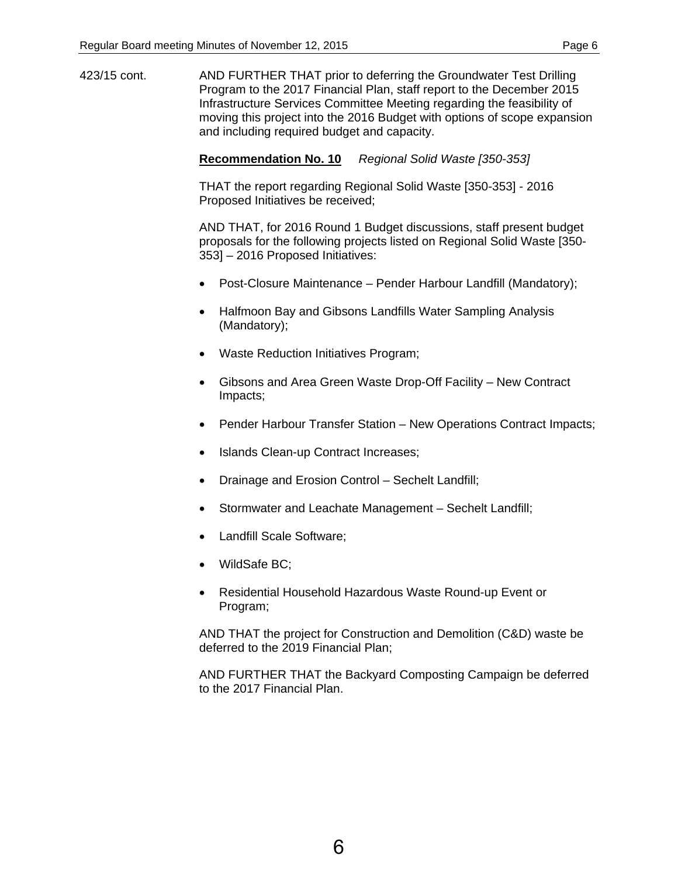423/15 cont. AND FURTHER THAT prior to deferring the Groundwater Test Drilling Program to the 2017 Financial Plan, staff report to the December 2015 Infrastructure Services Committee Meeting regarding the feasibility of moving this project into the 2016 Budget with options of scope expansion and including required budget and capacity.

#### **Recommendation No. 10** *Regional Solid Waste [350-353]*

THAT the report regarding Regional Solid Waste [350-353] - 2016 Proposed Initiatives be received;

AND THAT, for 2016 Round 1 Budget discussions, staff present budget proposals for the following projects listed on Regional Solid Waste [350- 353] – 2016 Proposed Initiatives:

- Post-Closure Maintenance Pender Harbour Landfill (Mandatory);
- Halfmoon Bay and Gibsons Landfills Water Sampling Analysis (Mandatory);
- Waste Reduction Initiatives Program;
- Gibsons and Area Green Waste Drop-Off Facility New Contract Impacts;
- Pender Harbour Transfer Station New Operations Contract Impacts;
- Islands Clean-up Contract Increases;
- Drainage and Erosion Control Sechelt Landfill;
- Stormwater and Leachate Management Sechelt Landfill;
- Landfill Scale Software;
- WildSafe BC;
- Residential Household Hazardous Waste Round-up Event or Program;

AND THAT the project for Construction and Demolition (C&D) waste be deferred to the 2019 Financial Plan;

AND FURTHER THAT the Backyard Composting Campaign be deferred to the 2017 Financial Plan.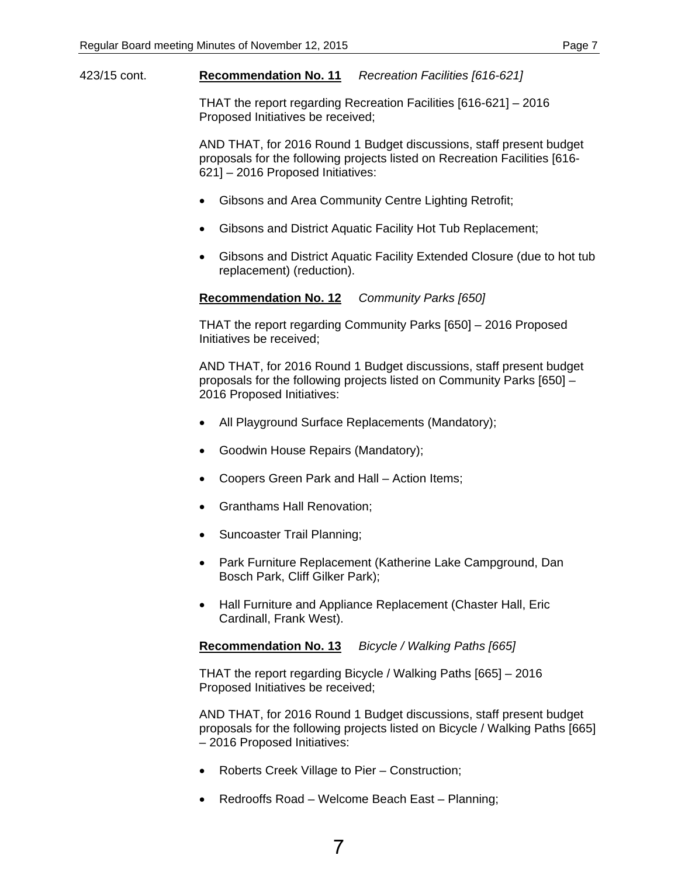423/15 cont. **Recommendation No. 11** *Recreation Facilities [616-621]* 

THAT the report regarding Recreation Facilities [616-621] – 2016 Proposed Initiatives be received;

AND THAT, for 2016 Round 1 Budget discussions, staff present budget proposals for the following projects listed on Recreation Facilities [616- 621] – 2016 Proposed Initiatives:

- Gibsons and Area Community Centre Lighting Retrofit;
- Gibsons and District Aquatic Facility Hot Tub Replacement;
- Gibsons and District Aquatic Facility Extended Closure (due to hot tub replacement) (reduction).

**Recommendation No. 12** *Community Parks [650]* 

THAT the report regarding Community Parks [650] – 2016 Proposed Initiatives be received;

AND THAT, for 2016 Round 1 Budget discussions, staff present budget proposals for the following projects listed on Community Parks [650] – 2016 Proposed Initiatives:

- All Playground Surface Replacements (Mandatory);
- Goodwin House Repairs (Mandatory);
- Coopers Green Park and Hall Action Items;
- Granthams Hall Renovation;
- Suncoaster Trail Planning;
- Park Furniture Replacement (Katherine Lake Campground, Dan Bosch Park, Cliff Gilker Park);
- Hall Furniture and Appliance Replacement (Chaster Hall, Eric Cardinall, Frank West).

**Recommendation No. 13** *Bicycle / Walking Paths [665]* 

THAT the report regarding Bicycle / Walking Paths [665] – 2016 Proposed Initiatives be received;

AND THAT, for 2016 Round 1 Budget discussions, staff present budget proposals for the following projects listed on Bicycle / Walking Paths [665] – 2016 Proposed Initiatives:

- Roberts Creek Village to Pier Construction;
- Redrooffs Road Welcome Beach East Planning;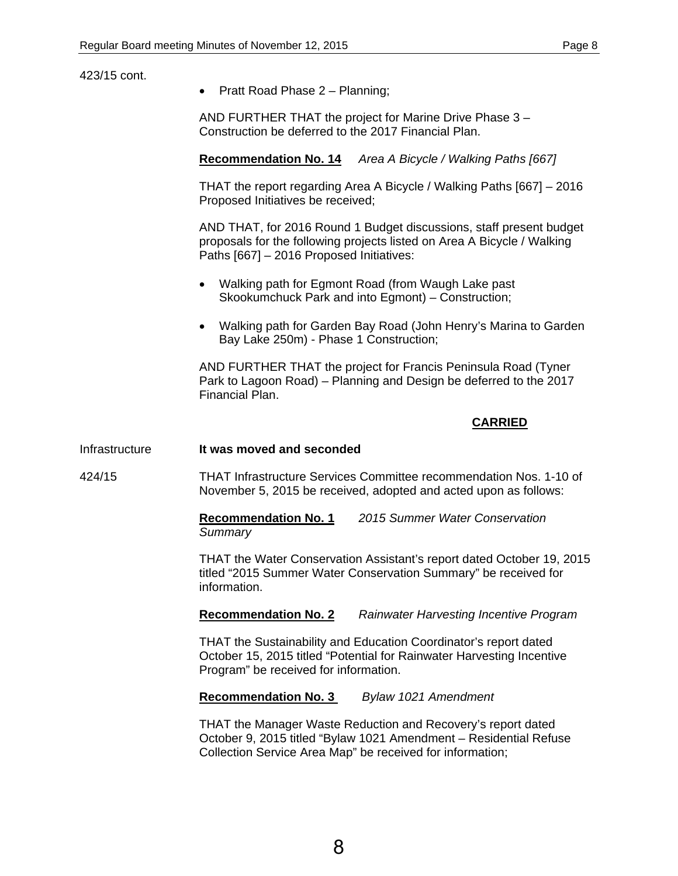| 423/15 cont.   | Pratt Road Phase 2 - Planning;<br>$\bullet$                                                                                                                                                    |  |  |
|----------------|------------------------------------------------------------------------------------------------------------------------------------------------------------------------------------------------|--|--|
|                | AND FURTHER THAT the project for Marine Drive Phase 3 -<br>Construction be deferred to the 2017 Financial Plan.                                                                                |  |  |
|                | <b>Recommendation No. 14</b><br>Area A Bicycle / Walking Paths [667]                                                                                                                           |  |  |
|                | THAT the report regarding Area A Bicycle / Walking Paths [667] - 2016<br>Proposed Initiatives be received;                                                                                     |  |  |
|                | AND THAT, for 2016 Round 1 Budget discussions, staff present budget<br>proposals for the following projects listed on Area A Bicycle / Walking<br>Paths [667] - 2016 Proposed Initiatives:     |  |  |
|                | Walking path for Egmont Road (from Waugh Lake past<br>$\bullet$<br>Skookumchuck Park and into Egmont) - Construction;                                                                          |  |  |
|                | Walking path for Garden Bay Road (John Henry's Marina to Garden<br>$\bullet$<br>Bay Lake 250m) - Phase 1 Construction;                                                                         |  |  |
|                | AND FURTHER THAT the project for Francis Peninsula Road (Tyner<br>Park to Lagoon Road) - Planning and Design be deferred to the 2017<br>Financial Plan.                                        |  |  |
|                | <b>CARRIED</b>                                                                                                                                                                                 |  |  |
| Infrastructure | It was moved and seconded                                                                                                                                                                      |  |  |
| 424/15         | THAT Infrastructure Services Committee recommendation Nos. 1-10 of<br>November 5, 2015 be received, adopted and acted upon as follows:                                                         |  |  |
|                | 2015 Summer Water Conservation<br><b>Recommendation No. 1</b><br>Summary                                                                                                                       |  |  |
|                | THAT the Water Conservation Assistant's report dated October 19, 2015<br>titled "2015 Summer Water Conservation Summary" be received for<br>information.                                       |  |  |
|                | <b>Recommendation No. 2</b><br><b>Rainwater Harvesting Incentive Program</b>                                                                                                                   |  |  |
|                | THAT the Sustainability and Education Coordinator's report dated<br>October 15, 2015 titled "Potential for Rainwater Harvesting Incentive<br>Program" be received for information.             |  |  |
|                | <b>Recommendation No. 3</b><br>Bylaw 1021 Amendment                                                                                                                                            |  |  |
|                | THAT the Manager Waste Reduction and Recovery's report dated<br>October 9, 2015 titled "Bylaw 1021 Amendment - Residential Refuse<br>Collection Service Area Map" be received for information; |  |  |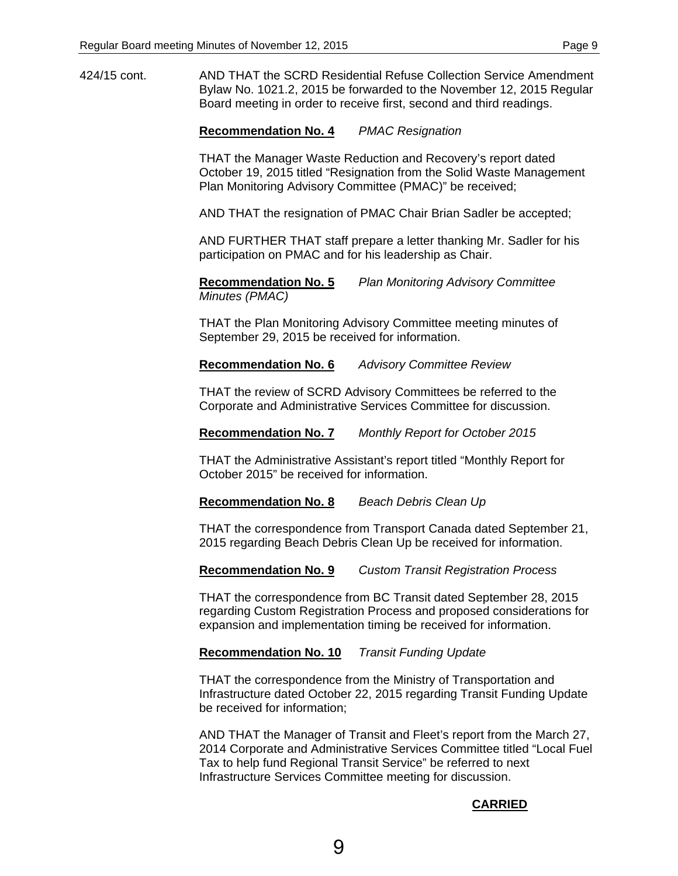424/15 cont. AND THAT the SCRD Residential Refuse Collection Service Amendment Bylaw No. 1021.2, 2015 be forwarded to the November 12, 2015 Regular Board meeting in order to receive first, second and third readings.

**Recommendation No. 4** *PMAC Resignation* 

THAT the Manager Waste Reduction and Recovery's report dated October 19, 2015 titled "Resignation from the Solid Waste Management Plan Monitoring Advisory Committee (PMAC)" be received;

AND THAT the resignation of PMAC Chair Brian Sadler be accepted;

AND FURTHER THAT staff prepare a letter thanking Mr. Sadler for his participation on PMAC and for his leadership as Chair.

**Recommendation No. 5** *Plan Monitoring Advisory Committee Minutes (PMAC)* 

THAT the Plan Monitoring Advisory Committee meeting minutes of September 29, 2015 be received for information.

**Recommendation No. 6** *Advisory Committee Review* 

THAT the review of SCRD Advisory Committees be referred to the Corporate and Administrative Services Committee for discussion.

**Recommendation No. 7** *Monthly Report for October 2015* 

THAT the Administrative Assistant's report titled "Monthly Report for October 2015" be received for information.

**Recommendation No. 8** *Beach Debris Clean Up* 

THAT the correspondence from Transport Canada dated September 21, 2015 regarding Beach Debris Clean Up be received for information.

**Recommendation No. 9** *Custom Transit Registration Process* 

THAT the correspondence from BC Transit dated September 28, 2015 regarding Custom Registration Process and proposed considerations for expansion and implementation timing be received for information.

## **Recommendation No. 10** *Transit Funding Update*

THAT the correspondence from the Ministry of Transportation and Infrastructure dated October 22, 2015 regarding Transit Funding Update be received for information;

AND THAT the Manager of Transit and Fleet's report from the March 27, 2014 Corporate and Administrative Services Committee titled "Local Fuel Tax to help fund Regional Transit Service" be referred to next Infrastructure Services Committee meeting for discussion.

## **CARRIED**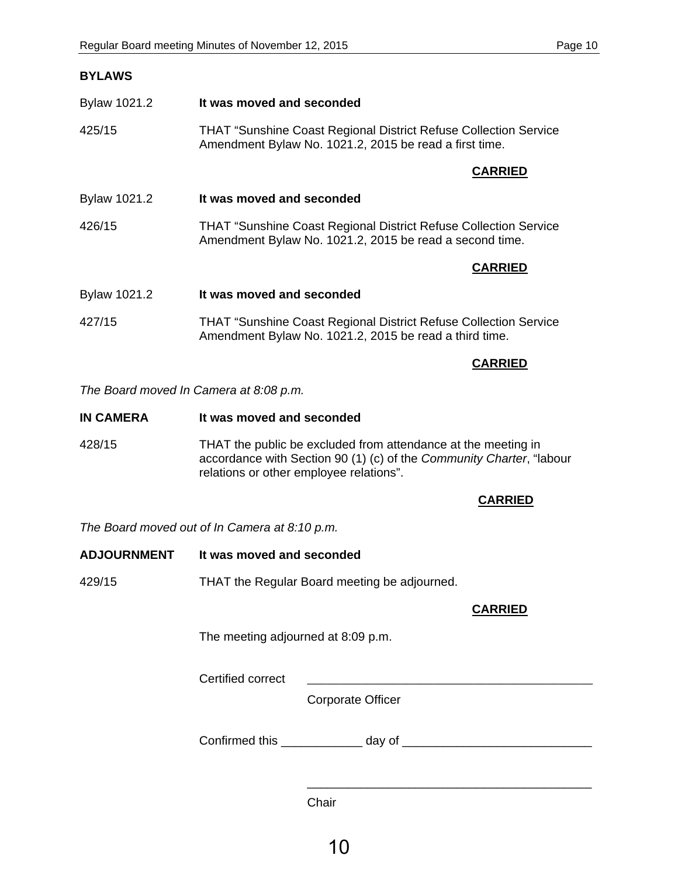| <b>BYLAWS</b>                          |                                                                                                                                    |
|----------------------------------------|------------------------------------------------------------------------------------------------------------------------------------|
| Bylaw 1021.2                           | It was moved and seconded                                                                                                          |
| 425/15                                 | <b>THAT "Sunshine Coast Regional District Refuse Collection Service</b><br>Amendment Bylaw No. 1021.2, 2015 be read a first time.  |
|                                        | <b>CARRIED</b>                                                                                                                     |
| Bylaw 1021.2                           | It was moved and seconded                                                                                                          |
| 426/15                                 | <b>THAT "Sunshine Coast Regional District Refuse Collection Service</b><br>Amendment Bylaw No. 1021.2, 2015 be read a second time. |
|                                        | <b>CARRIED</b>                                                                                                                     |
| Bylaw 1021.2                           | It was moved and seconded                                                                                                          |
| 427/15                                 | <b>THAT "Sunshine Coast Regional District Refuse Collection Service</b><br>Amendment Bylaw No. 1021.2, 2015 be read a third time.  |
|                                        | <b>CARRIED</b>                                                                                                                     |
| The Board moved In Camera at 8:08 p.m. |                                                                                                                                    |

**IN CAMERA** It was moved and seconded

428/15 THAT the public be excluded from attendance at the meeting in accordance with Section 90 (1) (c) of the *Community Charter*, "labour relations or other employee relations".

## **CARRIED**

*The Board moved out of In Camera at 8:10 p.m.* 

| <b>ADJOURNMENT</b> | It was moved and seconded |
|--------------------|---------------------------|
|--------------------|---------------------------|

429/15 THAT the Regular Board meeting be adjourned.

#### **CARRIED**

\_\_\_\_\_\_\_\_\_\_\_\_\_\_\_\_\_\_\_\_\_\_\_\_\_\_\_\_\_\_\_\_\_\_\_\_\_\_\_\_\_\_

The meeting adjourned at 8:09 p.m.

Certified correct

Corporate Officer

Confirmed this \_\_\_\_\_\_\_\_\_\_\_\_ day of \_\_\_\_\_\_\_\_\_\_\_\_\_\_\_\_\_\_\_\_\_\_\_\_\_\_\_\_

**Chair**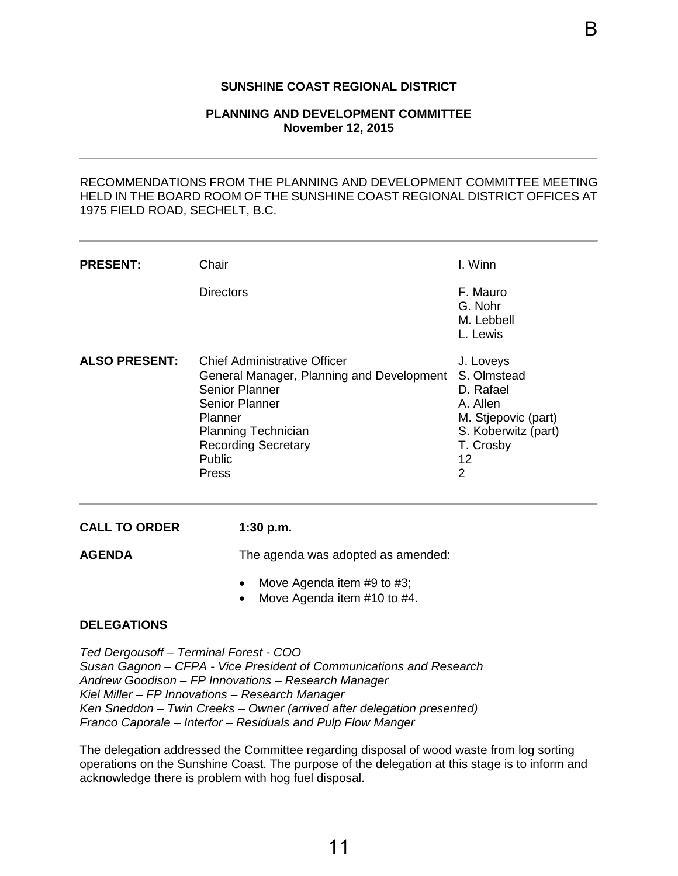#### **SUNSHINE COAST REGIONAL DISTRICT**

#### **PLANNING AND DEVELOPMENT COMMITTEE November 12, 2015**

<span id="page-13-0"></span>

|                      |                                                                                                                                                                                                                                                                                                                                                                                                                                                              | B                                                                                                                                    |  |  |  |
|----------------------|--------------------------------------------------------------------------------------------------------------------------------------------------------------------------------------------------------------------------------------------------------------------------------------------------------------------------------------------------------------------------------------------------------------------------------------------------------------|--------------------------------------------------------------------------------------------------------------------------------------|--|--|--|
|                      | <b>SUNSHINE COAST REGIONAL DISTRICT</b>                                                                                                                                                                                                                                                                                                                                                                                                                      |                                                                                                                                      |  |  |  |
|                      | <b>PLANNING AND DEVELOPMENT COMMITTEE</b><br><b>November 12, 2015</b>                                                                                                                                                                                                                                                                                                                                                                                        |                                                                                                                                      |  |  |  |
|                      | RECOMMENDATIONS FROM THE PLANNING AND DEVELOPMENT COMMITTEE MEETING<br>HELD IN THE BOARD ROOM OF THE SUNSHINE COAST REGIONAL DISTRICT OFFICES AT<br>1975 FIELD ROAD, SECHELT, B.C.                                                                                                                                                                                                                                                                           |                                                                                                                                      |  |  |  |
| <b>PRESENT:</b>      | Chair                                                                                                                                                                                                                                                                                                                                                                                                                                                        | I. Winn                                                                                                                              |  |  |  |
|                      | <b>Directors</b>                                                                                                                                                                                                                                                                                                                                                                                                                                             | F. Mauro<br>G. Nohr<br>M. Lebbell<br>L. Lewis                                                                                        |  |  |  |
| <b>ALSO PRESENT:</b> | <b>Chief Administrative Officer</b><br>General Manager, Planning and Development<br><b>Senior Planner</b><br><b>Senior Planner</b><br>Planner<br><b>Planning Technician</b><br><b>Recording Secretary</b><br>Public<br>Press                                                                                                                                                                                                                                 | J. Loveys<br>S. Olmstead<br>D. Rafael<br>A. Allen<br>M. Stjepovic (part)<br>S. Koberwitz (part)<br>T. Crosby<br>12<br>$\overline{2}$ |  |  |  |
| <b>CALL TO ORDER</b> | 1:30 p.m.                                                                                                                                                                                                                                                                                                                                                                                                                                                    |                                                                                                                                      |  |  |  |
| <b>AGENDA</b>        | The agenda was adopted as amended:<br>Move Agenda item #9 to #3;<br>Move Agenda item #10 to #4.                                                                                                                                                                                                                                                                                                                                                              |                                                                                                                                      |  |  |  |
| <b>DELEGATIONS</b>   |                                                                                                                                                                                                                                                                                                                                                                                                                                                              |                                                                                                                                      |  |  |  |
|                      | Ted Dergousoff - Terminal Forest - COO<br>Susan Gagnon - CFPA - Vice President of Communications and Research<br>Andrew Goodison - FP Innovations - Research Manager<br>Kiel Miller - FP Innovations - Research Manager<br>Ken Sneddon - Twin Creeks - Owner (arrived after delegation presented)<br>Franco Caporale - Interfor - Residuals and Pulp Flow Manger<br>The delegation addressed the Committee regarding disposal of wood waste from log sorting |                                                                                                                                      |  |  |  |
|                      | operations on the Sunshine Coast. The purpose of the delegation at this stage is to inform and<br>acknowledge there is problem with hog fuel disposal.                                                                                                                                                                                                                                                                                                       |                                                                                                                                      |  |  |  |
|                      | 11                                                                                                                                                                                                                                                                                                                                                                                                                                                           |                                                                                                                                      |  |  |  |

- Move Agenda item #9 to #3;
- Move Agenda item #10 to #4.

#### **DELEGATIONS**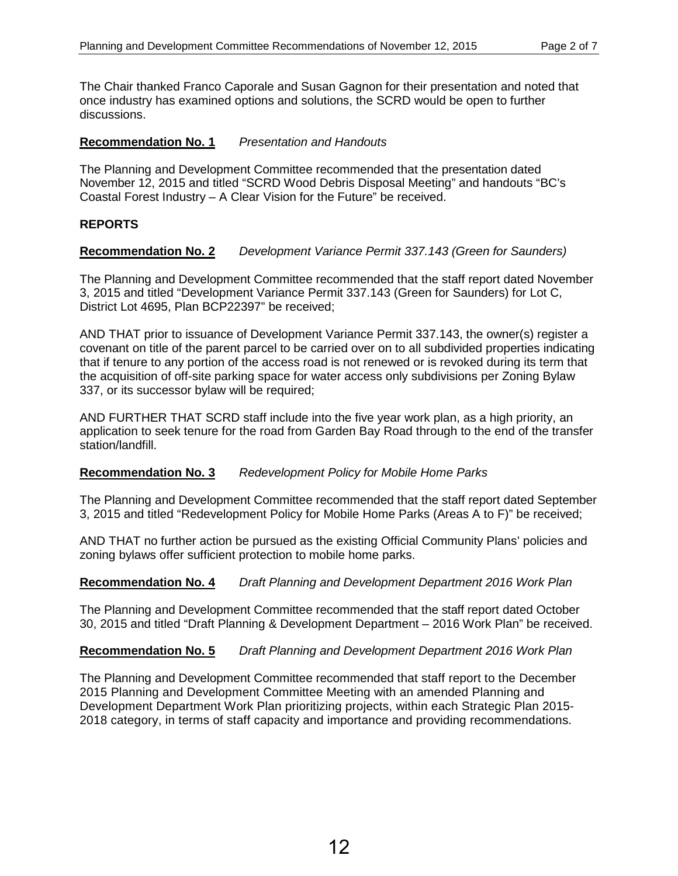The Chair thanked Franco Caporale and Susan Gagnon for their presentation and noted that once industry has examined options and solutions, the SCRD would be open to further discussions.

## **Recommendation No. 1** *Presentation and Handouts*

The Planning and Development Committee recommended that the presentation dated November 12, 2015 and titled "SCRD Wood Debris Disposal Meeting" and handouts "BC's Coastal Forest Industry – A Clear Vision for the Future" be received.

# **REPORTS**

## **Recommendation No. 2** *Development Variance Permit 337.143 (Green for Saunders)*

The Planning and Development Committee recommended that the staff report dated November 3, 2015 and titled "Development Variance Permit 337.143 (Green for Saunders) for Lot C, District Lot 4695, Plan BCP22397" be received;

AND THAT prior to issuance of Development Variance Permit 337.143, the owner(s) register a covenant on title of the parent parcel to be carried over on to all subdivided properties indicating that if tenure to any portion of the access road is not renewed or is revoked during its term that the acquisition of off-site parking space for water access only subdivisions per Zoning Bylaw 337, or its successor bylaw will be required;

AND FURTHER THAT SCRD staff include into the five year work plan, as a high priority, an application to seek tenure for the road from Garden Bay Road through to the end of the transfer station/landfill.

## **Recommendation No. 3** *Redevelopment Policy for Mobile Home Parks*

The Planning and Development Committee recommended that the staff report dated September 3, 2015 and titled "Redevelopment Policy for Mobile Home Parks (Areas A to F)" be received;

AND THAT no further action be pursued as the existing Official Community Plans' policies and zoning bylaws offer sufficient protection to mobile home parks.

## **Recommendation No. 4** *Draft Planning and Development Department 2016 Work Plan*

The Planning and Development Committee recommended that the staff report dated October 30, 2015 and titled "Draft Planning & Development Department – 2016 Work Plan" be received.

## **Recommendation No. 5** *Draft Planning and Development Department 2016 Work Plan*

The Planning and Development Committee recommended that staff report to the December 2015 Planning and Development Committee Meeting with an amended Planning and Development Department Work Plan prioritizing projects, within each Strategic Plan 2015- 2018 category, in terms of staff capacity and importance and providing recommendations.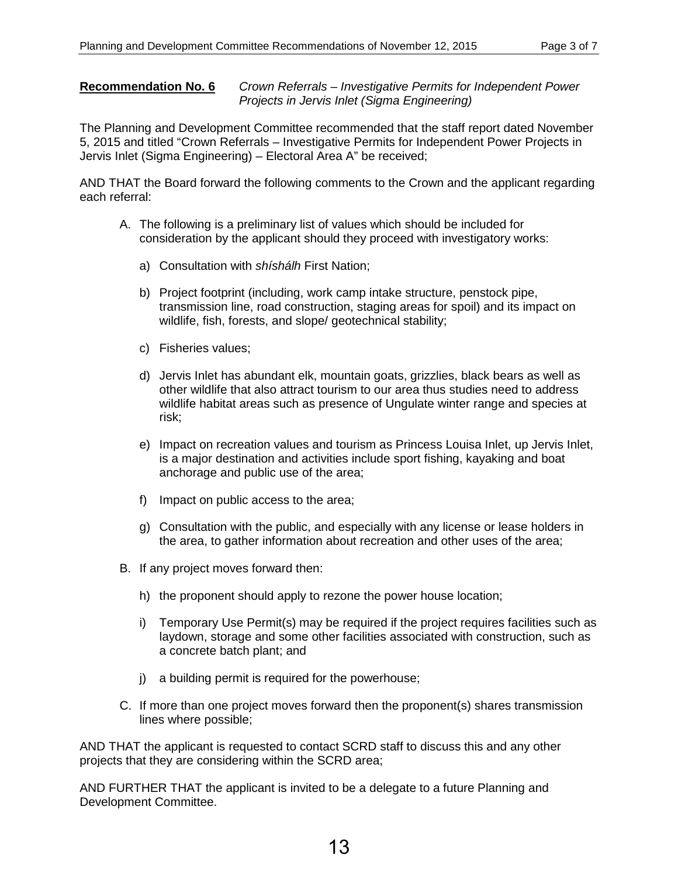#### **Recommendation No. 6** *Crown Referrals – Investigative Permits for Independent Power Projects in Jervis Inlet (Sigma Engineering)*

The Planning and Development Committee recommended that the staff report dated November 5, 2015 and titled "Crown Referrals – Investigative Permits for Independent Power Projects in Jervis Inlet (Sigma Engineering) – Electoral Area A" be received;

AND THAT the Board forward the following comments to the Crown and the applicant regarding each referral:

- A. The following is a preliminary list of values which should be included for consideration by the applicant should they proceed with investigatory works:
	- a) Consultation with *shíshálh* First Nation;
	- b) Project footprint (including, work camp intake structure, penstock pipe, transmission line, road construction, staging areas for spoil) and its impact on wildlife, fish, forests, and slope/ geotechnical stability;
	- c) Fisheries values;
	- d) Jervis Inlet has abundant elk, mountain goats, grizzlies, black bears as well as other wildlife that also attract tourism to our area thus studies need to address wildlife habitat areas such as presence of Ungulate winter range and species at risk;
	- e) Impact on recreation values and tourism as Princess Louisa Inlet, up Jervis Inlet, is a major destination and activities include sport fishing, kayaking and boat anchorage and public use of the area;
	- f) Impact on public access to the area;
	- g) Consultation with the public, and especially with any license or lease holders in the area, to gather information about recreation and other uses of the area;
- B. If any project moves forward then:
	- h) the proponent should apply to rezone the power house location;
	- i) Temporary Use Permit(s) may be required if the project requires facilities such as laydown, storage and some other facilities associated with construction, such as a concrete batch plant; and
	- j) a building permit is required for the powerhouse;
- C. If more than one project moves forward then the proponent(s) shares transmission lines where possible;

AND THAT the applicant is requested to contact SCRD staff to discuss this and any other projects that they are considering within the SCRD area;

AND FURTHER THAT the applicant is invited to be a delegate to a future Planning and Development Committee.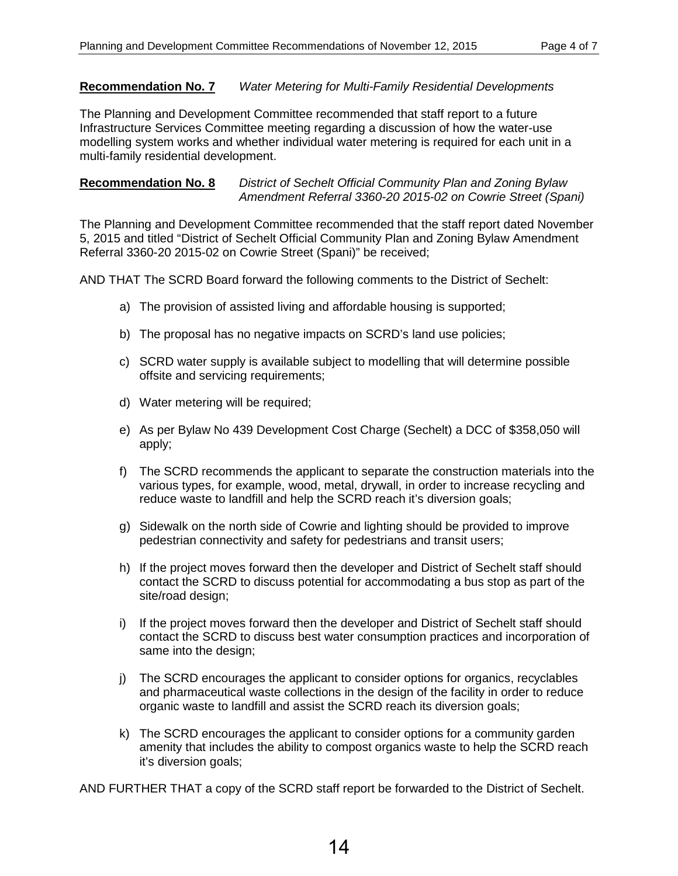## **Recommendation No. 7** *Water Metering for Multi-Family Residential Developments*

The Planning and Development Committee recommended that staff report to a future Infrastructure Services Committee meeting regarding a discussion of how the water-use modelling system works and whether individual water metering is required for each unit in a multi-family residential development.

## **Recommendation No. 8** *District of Sechelt Official Community Plan and Zoning Bylaw Amendment Referral 3360-20 2015-02 on Cowrie Street (Spani)*

The Planning and Development Committee recommended that the staff report dated November 5, 2015 and titled "District of Sechelt Official Community Plan and Zoning Bylaw Amendment Referral 3360-20 2015-02 on Cowrie Street (Spani)" be received;

AND THAT The SCRD Board forward the following comments to the District of Sechelt:

- a) The provision of assisted living and affordable housing is supported;
- b) The proposal has no negative impacts on SCRD's land use policies;
- c) SCRD water supply is available subject to modelling that will determine possible offsite and servicing requirements;
- d) Water metering will be required;
- e) As per Bylaw No 439 Development Cost Charge (Sechelt) a DCC of \$358,050 will apply;
- f) The SCRD recommends the applicant to separate the construction materials into the various types, for example, wood, metal, drywall, in order to increase recycling and reduce waste to landfill and help the SCRD reach it's diversion goals;
- g) Sidewalk on the north side of Cowrie and lighting should be provided to improve pedestrian connectivity and safety for pedestrians and transit users;
- h) If the project moves forward then the developer and District of Sechelt staff should contact the SCRD to discuss potential for accommodating a bus stop as part of the site/road design;
- i) If the project moves forward then the developer and District of Sechelt staff should contact the SCRD to discuss best water consumption practices and incorporation of same into the design;
- j) The SCRD encourages the applicant to consider options for organics, recyclables and pharmaceutical waste collections in the design of the facility in order to reduce organic waste to landfill and assist the SCRD reach its diversion goals;
- k) The SCRD encourages the applicant to consider options for a community garden amenity that includes the ability to compost organics waste to help the SCRD reach it's diversion goals;

AND FURTHER THAT a copy of the SCRD staff report be forwarded to the District of Sechelt.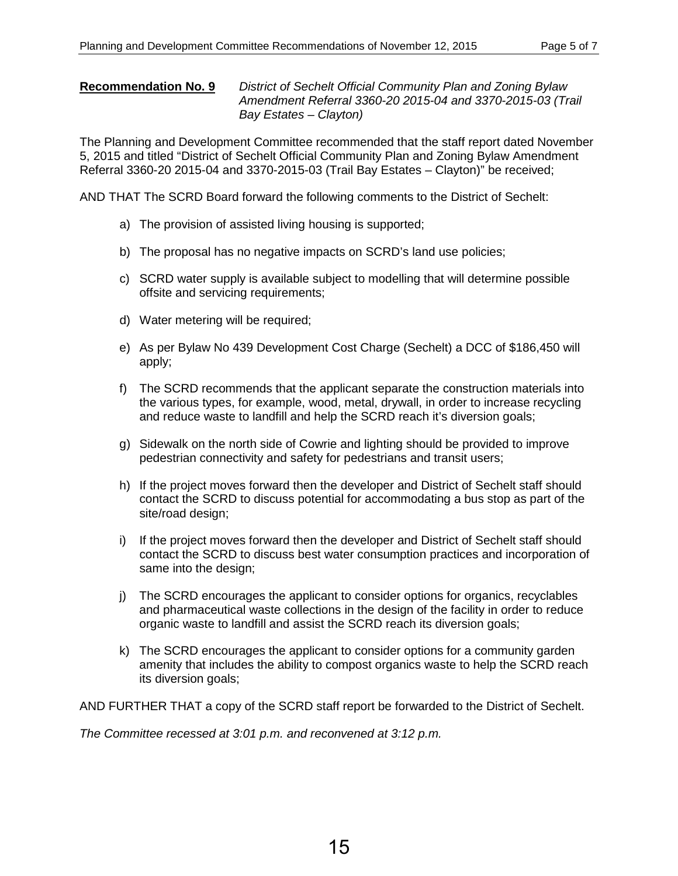## **Recommendation No. 9** *District of Sechelt Official Community Plan and Zoning Bylaw Amendment Referral 3360-20 2015-04 and 3370-2015-03 (Trail Bay Estates – Clayton)*

The Planning and Development Committee recommended that the staff report dated November 5, 2015 and titled "District of Sechelt Official Community Plan and Zoning Bylaw Amendment Referral 3360-20 2015-04 and 3370-2015-03 (Trail Bay Estates – Clayton)" be received;

AND THAT The SCRD Board forward the following comments to the District of Sechelt:

- a) The provision of assisted living housing is supported;
- b) The proposal has no negative impacts on SCRD's land use policies;
- c) SCRD water supply is available subject to modelling that will determine possible offsite and servicing requirements;
- d) Water metering will be required;
- e) As per Bylaw No 439 Development Cost Charge (Sechelt) a DCC of \$186,450 will apply;
- f) The SCRD recommends that the applicant separate the construction materials into the various types, for example, wood, metal, drywall, in order to increase recycling and reduce waste to landfill and help the SCRD reach it's diversion goals;
- g) Sidewalk on the north side of Cowrie and lighting should be provided to improve pedestrian connectivity and safety for pedestrians and transit users;
- h) If the project moves forward then the developer and District of Sechelt staff should contact the SCRD to discuss potential for accommodating a bus stop as part of the site/road design;
- i) If the project moves forward then the developer and District of Sechelt staff should contact the SCRD to discuss best water consumption practices and incorporation of same into the design:
- j) The SCRD encourages the applicant to consider options for organics, recyclables and pharmaceutical waste collections in the design of the facility in order to reduce organic waste to landfill and assist the SCRD reach its diversion goals;
- k) The SCRD encourages the applicant to consider options for a community garden amenity that includes the ability to compost organics waste to help the SCRD reach its diversion goals;

AND FURTHER THAT a copy of the SCRD staff report be forwarded to the District of Sechelt.

*The Committee recessed at 3:01 p.m. and reconvened at 3:12 p.m.*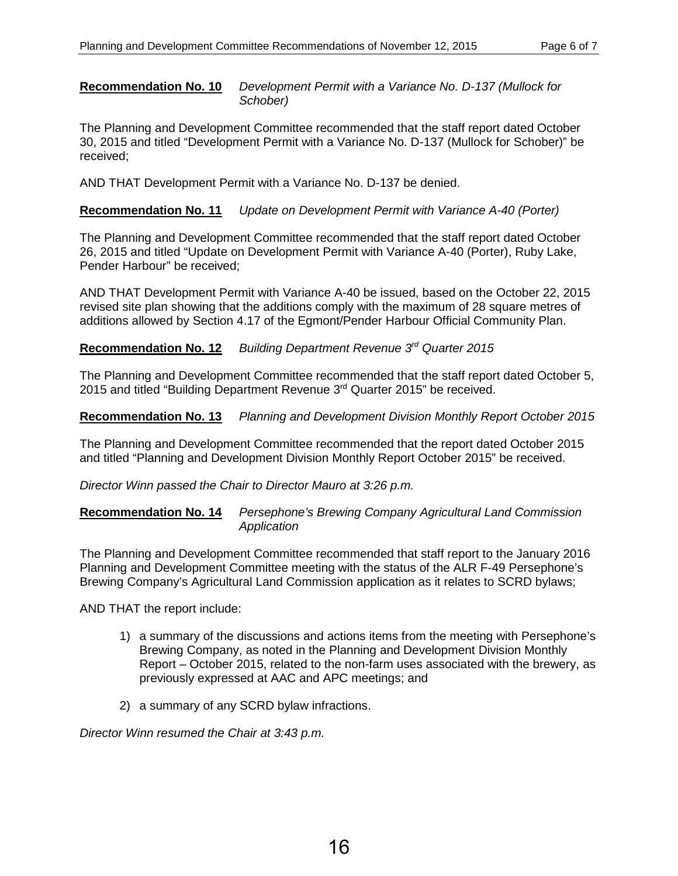**Recommendation No. 10** *Development Permit with a Variance No. D-137 (Mullock for Schober)*

The Planning and Development Committee recommended that the staff report dated October 30, 2015 and titled "Development Permit with a Variance No. D-137 (Mullock for Schober)" be received;

AND THAT Development Permit with a Variance No. D-137 be denied.

**Recommendation No. 11** *Update on Development Permit with Variance A-40 (Porter)*

The Planning and Development Committee recommended that the staff report dated October 26, 2015 and titled "Update on Development Permit with Variance A-40 (Porter), Ruby Lake, Pender Harbour" be received;

AND THAT Development Permit with Variance A-40 be issued, based on the October 22, 2015 revised site plan showing that the additions comply with the maximum of 28 square metres of additions allowed by Section 4.17 of the Egmont/Pender Harbour Official Community Plan.

## **Recommendation No. 12** *Building Department Revenue 3rd Quarter 2015*

The Planning and Development Committee recommended that the staff report dated October 5, 2015 and titled "Building Department Revenue 3rd Quarter 2015" be received.

**Recommendation No. 13** *Planning and Development Division Monthly Report October 2015*

The Planning and Development Committee recommended that the report dated October 2015 and titled "Planning and Development Division Monthly Report October 2015" be received.

*Director Winn passed the Chair to Director Mauro at 3:26 p.m.*

**Recommendation No. 14** *Persephone's Brewing Company Agricultural Land Commission Application*

The Planning and Development Committee recommended that staff report to the January 2016 Planning and Development Committee meeting with the status of the ALR F-49 Persephone's Brewing Company's Agricultural Land Commission application as it relates to SCRD bylaws;

AND THAT the report include:

- 1) a summary of the discussions and actions items from the meeting with Persephone's Brewing Company, as noted in the Planning and Development Division Monthly Report – October 2015, related to the non-farm uses associated with the brewery, as previously expressed at AAC and APC meetings; and
- 2) a summary of any SCRD bylaw infractions.

*Director Winn resumed the Chair at 3:43 p.m.*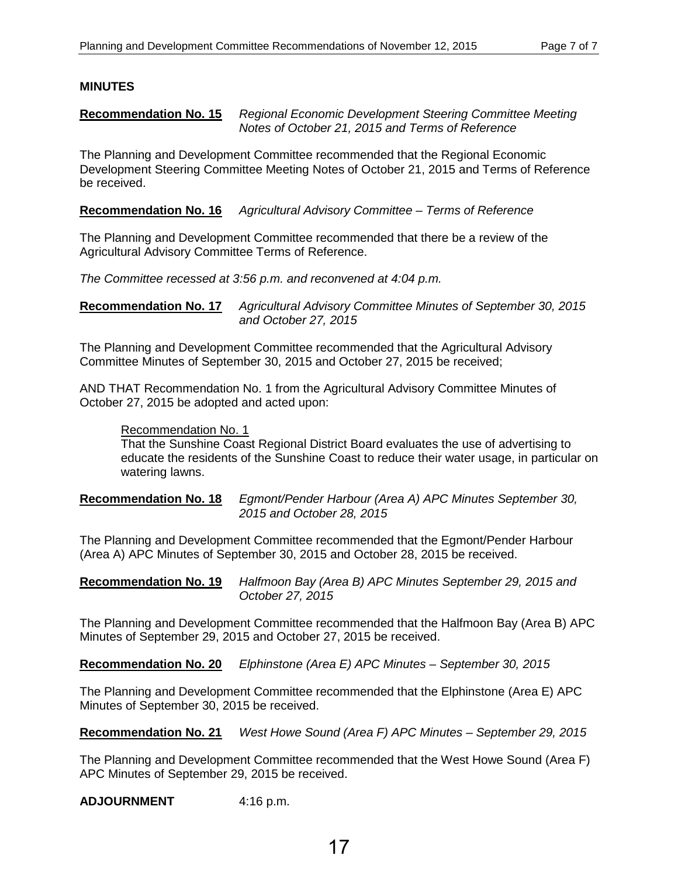## **MINUTES**

#### **Recommendation No. 15** *Regional Economic Development Steering Committee Meeting Notes of October 21, 2015 and Terms of Reference*

The Planning and Development Committee recommended that the Regional Economic Development Steering Committee Meeting Notes of October 21, 2015 and Terms of Reference be received.

**Recommendation No. 16** *Agricultural Advisory Committee – Terms of Reference*

The Planning and Development Committee recommended that there be a review of the Agricultural Advisory Committee Terms of Reference.

*The Committee recessed at 3:56 p.m. and reconvened at 4:04 p.m.*

**Recommendation No. 17** *Agricultural Advisory Committee Minutes of September 30, 2015 and October 27, 2015*

The Planning and Development Committee recommended that the Agricultural Advisory Committee Minutes of September 30, 2015 and October 27, 2015 be received;

AND THAT Recommendation No. 1 from the Agricultural Advisory Committee Minutes of October 27, 2015 be adopted and acted upon:

## Recommendation No. 1

That the Sunshine Coast Regional District Board evaluates the use of advertising to educate the residents of the Sunshine Coast to reduce their water usage, in particular on watering lawns.

## **Recommendation No. 18** *Egmont/Pender Harbour (Area A) APC Minutes September 30, 2015 and October 28, 2015*

The Planning and Development Committee recommended that the Egmont/Pender Harbour (Area A) APC Minutes of September 30, 2015 and October 28, 2015 be received.

**Recommendation No. 19** *Halfmoon Bay (Area B) APC Minutes September 29, 2015 and October 27, 2015*

The Planning and Development Committee recommended that the Halfmoon Bay (Area B) APC Minutes of September 29, 2015 and October 27, 2015 be received.

**Recommendation No. 20** *Elphinstone (Area E) APC Minutes – September 30, 2015*

The Planning and Development Committee recommended that the Elphinstone (Area E) APC Minutes of September 30, 2015 be received.

**Recommendation No. 21** *West Howe Sound (Area F) APC Minutes – September 29, 2015*

The Planning and Development Committee recommended that the West Howe Sound (Area F) APC Minutes of September 29, 2015 be received.

**ADJOURNMENT** 4:16 p.m.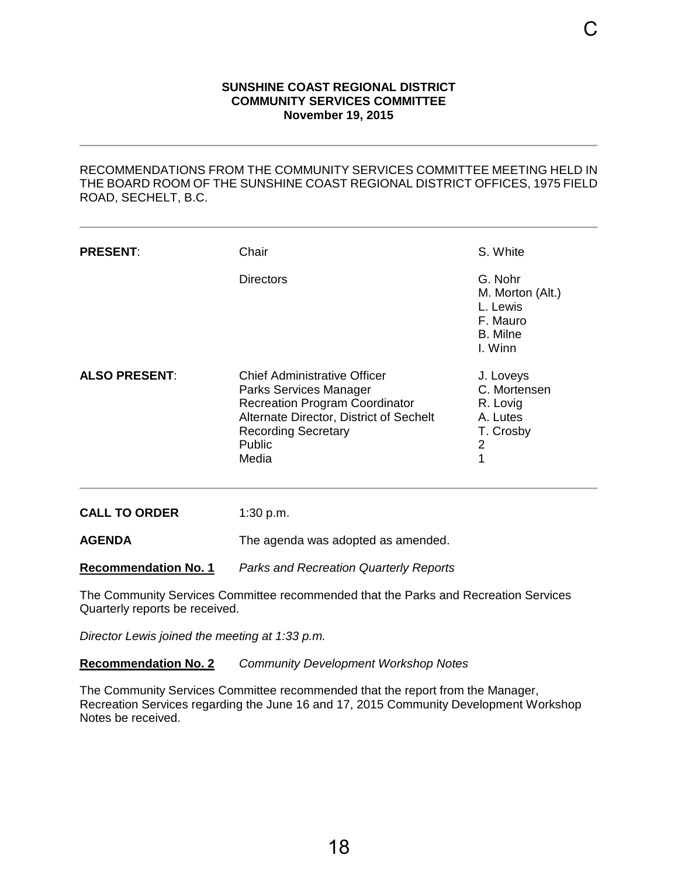#### **SUNSHINE COAST REGIONAL DISTRICT COMMUNITY SERVICES COMMITTEE November 19, 2015**

<span id="page-20-0"></span>

| <b>SUNSHINE COAST REGIONAL DISTRICT</b><br><b>COMMUNITY SERVICES COMMITTEE</b><br><b>November 19, 2015</b> |                                                                                                                                                                                                    |                                                                                                |  |  |  |
|------------------------------------------------------------------------------------------------------------|----------------------------------------------------------------------------------------------------------------------------------------------------------------------------------------------------|------------------------------------------------------------------------------------------------|--|--|--|
| ROAD, SECHELT, B.C.                                                                                        | RECOMMENDATIONS FROM THE COMMUNITY SERVICES COMMITTEE MEETING HELD IN<br>THE BOARD ROOM OF THE SUNSHINE COAST REGIONAL DISTRICT OFFICES, 1975 FIELD                                                |                                                                                                |  |  |  |
| <b>PRESENT:</b>                                                                                            | Chair                                                                                                                                                                                              | S. White                                                                                       |  |  |  |
|                                                                                                            | <b>Directors</b>                                                                                                                                                                                   | G. Nohr<br>M. Morton (Alt.)<br>L. Lewis<br>F. Mauro<br><b>B.</b> Milne<br>I. Winn              |  |  |  |
| <b>ALSO PRESENT:</b>                                                                                       | <b>Chief Administrative Officer</b><br>Parks Services Manager<br><b>Recreation Program Coordinator</b><br>Alternate Director, District of Sechelt<br><b>Recording Secretary</b><br>Public<br>Media | J. Loveys<br>C. Mortensen<br>R. Lovig<br>A. Lutes<br>T. Crosby<br>$\overline{\mathbf{c}}$<br>1 |  |  |  |
| <b>CALL TO ORDER</b>                                                                                       | 1:30 p.m.                                                                                                                                                                                          |                                                                                                |  |  |  |
| <b>AGENDA</b>                                                                                              | The agenda was adopted as amended.                                                                                                                                                                 |                                                                                                |  |  |  |
| <b>Recommendation No. 1</b>                                                                                | <b>Parks and Recreation Quarterly Reports</b>                                                                                                                                                      |                                                                                                |  |  |  |
| Quarterly reports be received.                                                                             | The Community Services Committee recommended that the Parks and Recreation Services                                                                                                                |                                                                                                |  |  |  |
| Director Lewis joined the meeting at 1:33 p.m.                                                             |                                                                                                                                                                                                    |                                                                                                |  |  |  |
| <b>Recommendation No. 2</b>                                                                                | <b>Community Development Workshop Notes</b>                                                                                                                                                        |                                                                                                |  |  |  |
| Notes be received.                                                                                         | The Community Services Committee recommended that the report from the Manager,<br>Recreation Services regarding the June 16 and 17, 2015 Community Development Workshop                            |                                                                                                |  |  |  |
|                                                                                                            |                                                                                                                                                                                                    |                                                                                                |  |  |  |
|                                                                                                            |                                                                                                                                                                                                    |                                                                                                |  |  |  |
|                                                                                                            | 18                                                                                                                                                                                                 |                                                                                                |  |  |  |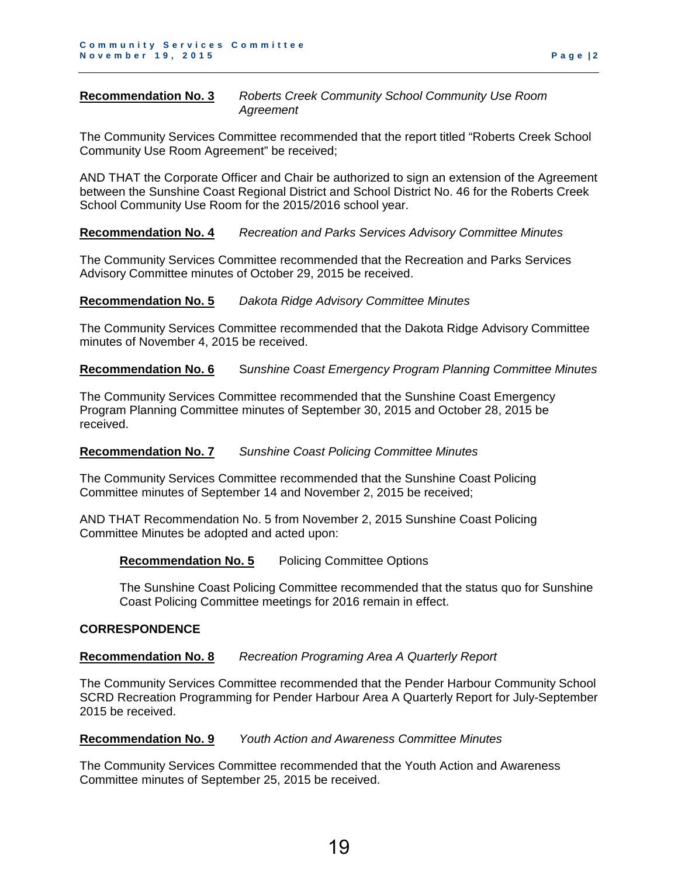**Recommendation No. 3** *Roberts Creek Community School Community Use Room Agreement*

The Community Services Committee recommended that the report titled "Roberts Creek School Community Use Room Agreement" be received;

AND THAT the Corporate Officer and Chair be authorized to sign an extension of the Agreement between the Sunshine Coast Regional District and School District No. 46 for the Roberts Creek School Community Use Room for the 2015/2016 school year.

#### **Recommendation No. 4** *Recreation and Parks Services Advisory Committee Minutes*

The Community Services Committee recommended that the Recreation and Parks Services Advisory Committee minutes of October 29, 2015 be received.

#### **Recommendation No. 5** *Dakota Ridge Advisory Committee Minutes*

The Community Services Committee recommended that the Dakota Ridge Advisory Committee minutes of November 4, 2015 be received.

**Recommendation No. 6** S*unshine Coast Emergency Program Planning Committee Minutes*

The Community Services Committee recommended that the Sunshine Coast Emergency Program Planning Committee minutes of September 30, 2015 and October 28, 2015 be received.

#### **Recommendation No. 7** *Sunshine Coast Policing Committee Minutes*

The Community Services Committee recommended that the Sunshine Coast Policing Committee minutes of September 14 and November 2, 2015 be received;

AND THAT Recommendation No. 5 from November 2, 2015 Sunshine Coast Policing Committee Minutes be adopted and acted upon:

#### **Recommendation No. 5** Policing Committee Options

The Sunshine Coast Policing Committee recommended that the status quo for Sunshine Coast Policing Committee meetings for 2016 remain in effect.

#### **CORRESPONDENCE**

#### **Recommendation No. 8** *Recreation Programing Area A Quarterly Report*

The Community Services Committee recommended that the Pender Harbour Community School SCRD Recreation Programming for Pender Harbour Area A Quarterly Report for July-September 2015 be received.

#### **Recommendation No. 9** *Youth Action and Awareness Committee Minutes*

The Community Services Committee recommended that the Youth Action and Awareness Committee minutes of September 25, 2015 be received.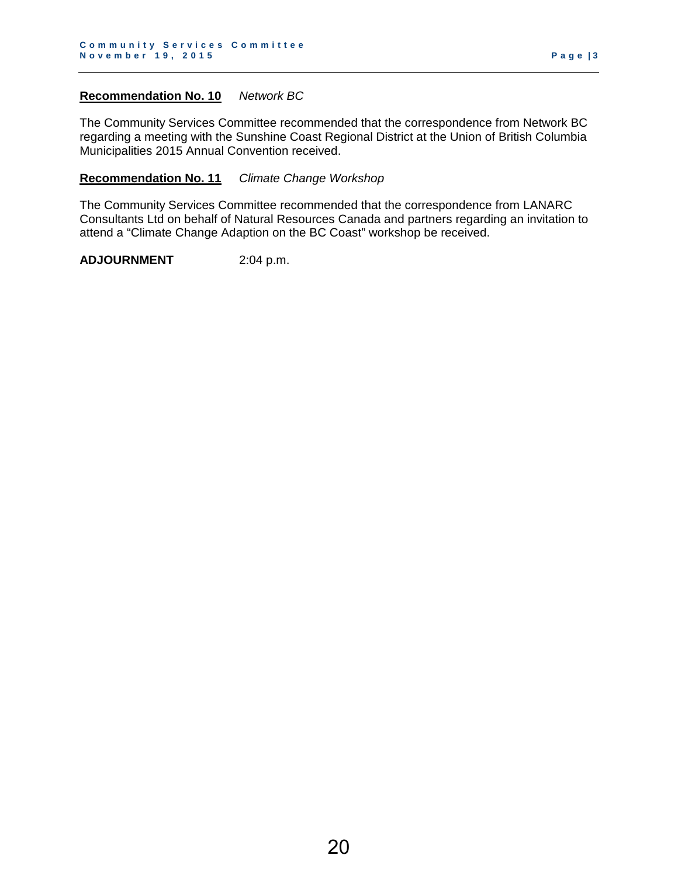#### **Recommendation No. 10** *Network BC*

The Community Services Committee recommended that the correspondence from Network BC regarding a meeting with the Sunshine Coast Regional District at the Union of British Columbia Municipalities 2015 Annual Convention received.

#### **Recommendation No. 11** *Climate Change Workshop*

The Community Services Committee recommended that the correspondence from LANARC Consultants Ltd on behalf of Natural Resources Canada and partners regarding an invitation to attend a "Climate Change Adaption on the BC Coast" workshop be received.

**ADJOURNMENT** 2:04 p.m.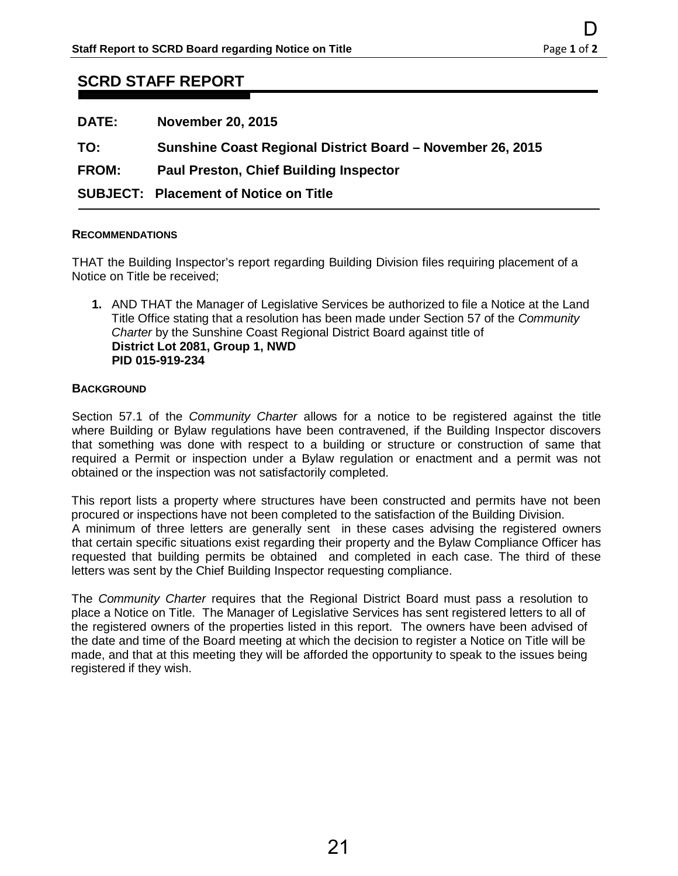# **SCRD STAFF REPORT**

| <b>DATE:</b> | <b>November 20, 2015</b>                                   |
|--------------|------------------------------------------------------------|
| TO:          | Sunshine Coast Regional District Board – November 26, 2015 |
| <b>FROM:</b> | <b>Paul Preston, Chief Building Inspector</b>              |
|              | <b>SUBJECT: Placement of Notice on Title</b>               |

#### **RECOMMENDATIONS**

THAT the Building Inspector's report regarding Building Division files requiring placement of a Notice on Title be received;

**1.** AND THAT the Manager of Legislative Services be authorized to file a Notice at the Land Title Office stating that a resolution has been made under Section 57 of the *Community Charter* by the Sunshine Coast Regional District Board against title of **District Lot 2081, Group 1, NWD PID 015-919-234**

#### **BACKGROUND**

Section 57.1 of the *Community Charter* allows for a notice to be registered against the title where Building or Bylaw regulations have been contravened, if the Building Inspector discovers that something was done with respect to a building or structure or construction of same that required a Permit or inspection under a Bylaw regulation or enactment and a permit was not obtained or the inspection was not satisfactorily completed.

<span id="page-23-0"></span>This report lists a property where structures have been constructed and permits have not been procured or inspections have not been completed to the satisfaction of the Building Division. A minimum of three letters are generally sent in these cases advising the registered owners that certain specific situations exist regarding their property and the Bylaw Compliance Officer has requested that building permits be obtained and completed in each case. The third of these letters was sent by the Chief Building Inspector requesting compliance. D<br>
D<br>
Page 1 of 2<br>
Page 1 of 2<br>
Building Division files requiring placement of a<br>
9<br>
Building Division files requiring placement of a<br>
9<br>
Building Division files requiring placement of a<br>
herocene made under Section 57 of

The *Community Charter* requires that the Regional District Board must pass a resolution to place a Notice on Title. The Manager of Legislative Services has sent registered letters to all of the registered owners of the properties listed in this report. The owners have been advised of the date and time of the Board meeting at which the decision to register a Notice on Title will be made, and that at this meeting they will be afforded the opportunity to speak to the issues being registered if they wish.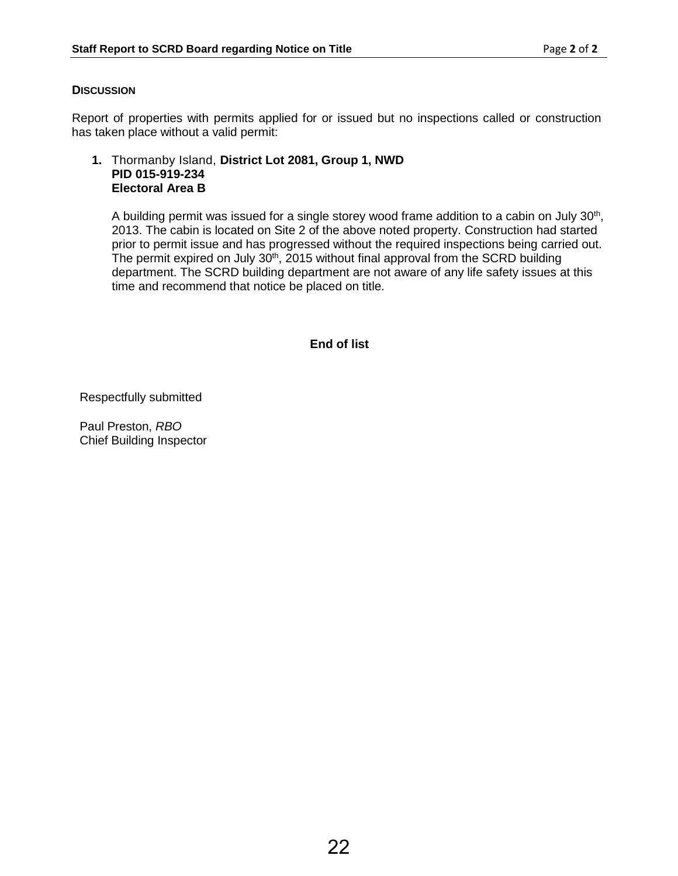# **DISCUSSION**

Report of properties with permits applied for or issued but no inspections called or construction has taken place without a valid permit:

## **1.** Thormanby Island, **District Lot 2081, Group 1, NWD PID 015-919-234 Electoral Area B**

A building permit was issued for a single storey wood frame addition to a cabin on July  $30<sup>th</sup>$ , 2013. The cabin is located on Site 2 of the above noted property. Construction had started prior to permit issue and has progressed without the required inspections being carried out. The permit expired on July  $30<sup>th</sup>$ , 2015 without final approval from the SCRD building department. The SCRD building department are not aware of any life safety issues at this time and recommend that notice be placed on title.

# **End of list**

Respectfully submitted

Paul Preston, *RBO* Chief Building Inspector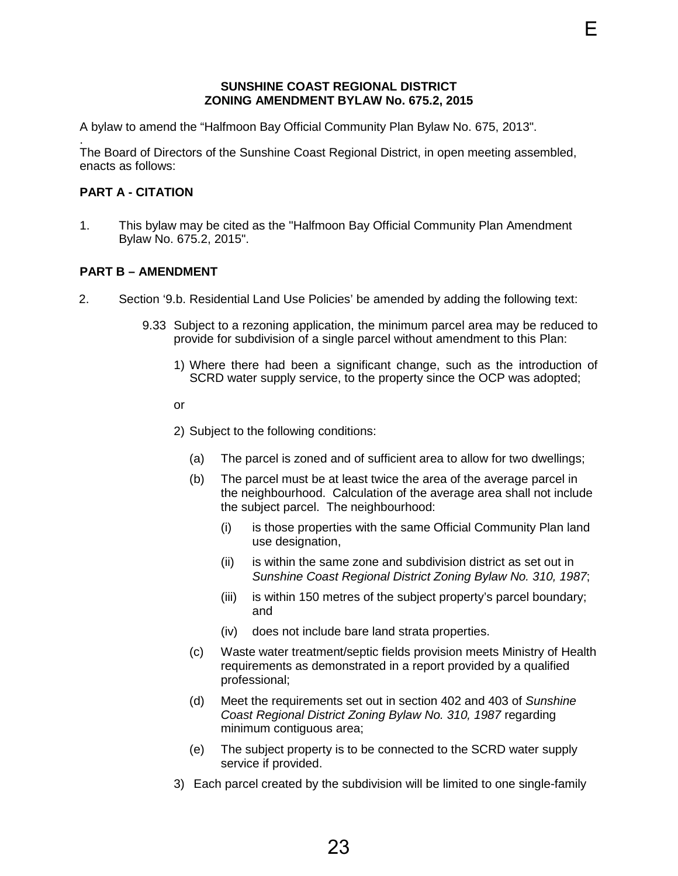#### **SUNSHINE COAST REGIONAL DISTRICT ZONING AMENDMENT BYLAW No. 675.2, 2015**

<span id="page-25-0"></span>A bylaw to amend the "Halfmoon Bay Official Community Plan Bylaw No. 675, 2013".

. The Board of Directors of the Sunshine Coast Regional District, in open meeting assembled, enacts as follows:

#### **PART A - CITATION**

1. This bylaw may be cited as the "Halfmoon Bay Official Community Plan Amendment Bylaw No. 675.2, 2015".

#### **PART B – AMENDMENT**

- 2. Section '9.b. Residential Land Use Policies' be amended by adding the following text:
	- 9.33 Subject to a rezoning application, the minimum parcel area may be reduced to provide for subdivision of a single parcel without amendment to this Plan:
		- 1) Where there had been a significant change, such as the introduction of SCRD water supply service, to the property since the OCP was adopted;
		- or
		- 2) Subject to the following conditions:
			- (a) The parcel is zoned and of sufficient area to allow for two dwellings;
			- (b) The parcel must be at least twice the area of the average parcel in the neighbourhood. Calculation of the average area shall not include the subject parcel. The neighbourhood:
				- (i) is those properties with the same Official Community Plan land use designation,
				- (ii) is within the same zone and subdivision district as set out in *Sunshine Coast Regional District Zoning Bylaw No. 310, 1987*;
				- (iii) is within 150 metres of the subject property's parcel boundary; and
				- (iv) does not include bare land strata properties.
- (c) Waste water treatment/septic fields provision meets Ministry of Health requirements as demonstrated in a report provided by a qualified professional; E<br> **ENGLAIN DESTRICT**<br> **ENGLAIN No. 675.2, 2015**<br> **ENGLAIN No. 675.2, 2015**<br> **Regional District, in open meeting assembled,**<br> **Don Bay Official Community Plan Amendment**<br> **ENGLAIN DESTAINE TO A DESTAINE AND SECT AND AMENDE** 
	- (d) Meet the requirements set out in section 402 and 403 of *Sunshine Coast Regional District Zoning Bylaw No. 310, 1987* regarding minimum contiguous area;
	- (e) The subject property is to be connected to the SCRD water supply service if provided.
	- 3) Each parcel created by the subdivision will be limited to one single-family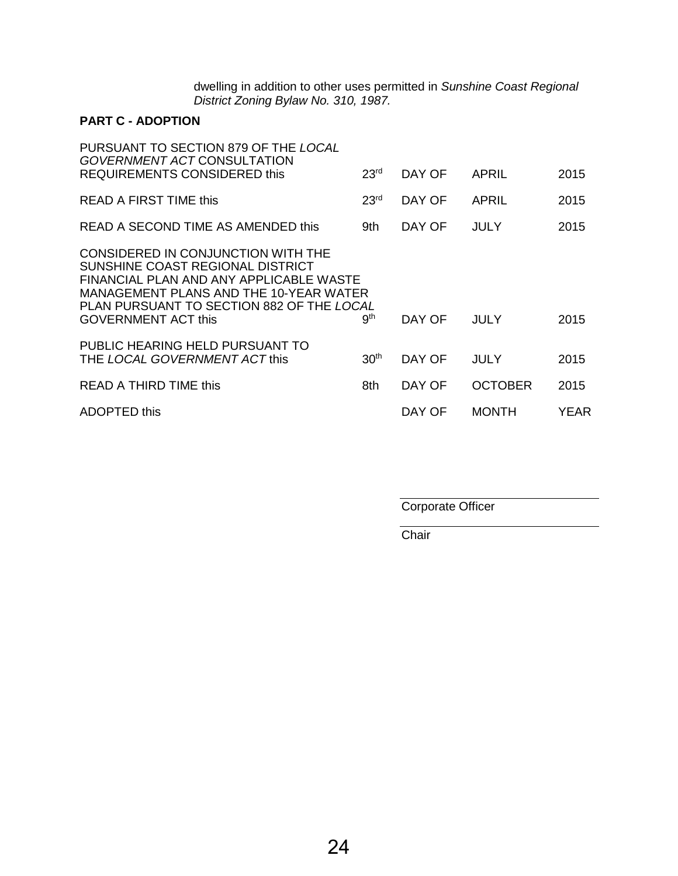dwelling in addition to other uses permitted in *Sunshine Coast Regional District Zoning Bylaw No. 310, 1987.*

# **PART C - ADOPTION**

| PURSUANT TO SECTION 879 OF THE LOCAL<br><b>GOVERNMENT ACT CONSULTATION</b><br><b>REQUIREMENTS CONSIDERED this</b>                                                                                                                      | 23 <sup>rd</sup> | DAY OF | APRIL          | 2015 |
|----------------------------------------------------------------------------------------------------------------------------------------------------------------------------------------------------------------------------------------|------------------|--------|----------------|------|
| READ A FIRST TIME this                                                                                                                                                                                                                 | 23 <sup>rd</sup> | DAY OF | <b>APRIL</b>   | 2015 |
| READ A SECOND TIME AS AMENDED this                                                                                                                                                                                                     | 9th              | DAY OF | <b>JULY</b>    | 2015 |
| CONSIDERED IN CONJUNCTION WITH THE<br>SUNSHINE COAST REGIONAL DISTRICT<br>FINANCIAL PLAN AND ANY APPLICABLE WASTE<br>MANAGEMENT PLANS AND THE 10-YEAR WATER<br>PLAN PURSUANT TO SECTION 882 OF THE LOCAL<br><b>GOVERNMENT ACT this</b> | gth              | DAY OF | <b>JULY</b>    | 2015 |
| PUBLIC HEARING HELD PURSUANT TO<br>THE LOCAL GOVERNMENT ACT this                                                                                                                                                                       | 30 <sup>th</sup> | DAY OF | JULY           | 2015 |
| READ A THIRD TIME this                                                                                                                                                                                                                 | 8th              | DAY OF | <b>OCTOBER</b> | 2015 |
| ADOPTED this                                                                                                                                                                                                                           |                  | DAY OF | <b>MONTH</b>   | YEAR |

Corporate Officer

**Chair**